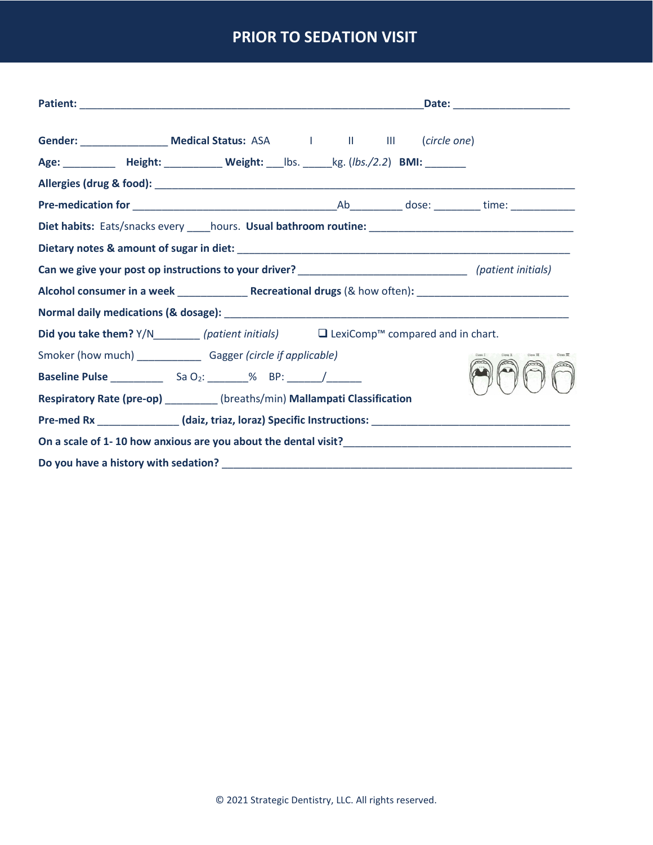## **PRIOR TO SEDATION VISIT**

| Age: ____________ Height: _____________ Weight: ____lbs. ______kg. (lbs./2.2) BMI: ________         |  |  |  |  |  |
|-----------------------------------------------------------------------------------------------------|--|--|--|--|--|
|                                                                                                     |  |  |  |  |  |
|                                                                                                     |  |  |  |  |  |
|                                                                                                     |  |  |  |  |  |
|                                                                                                     |  |  |  |  |  |
|                                                                                                     |  |  |  |  |  |
|                                                                                                     |  |  |  |  |  |
|                                                                                                     |  |  |  |  |  |
| <b>Did you take them?</b> $Y/N$ (patient initials) $□$ LexiComp <sup>™</sup> compared and in chart. |  |  |  |  |  |
| Smoker (how much) ________________ Gagger (circle if applicable)                                    |  |  |  |  |  |
|                                                                                                     |  |  |  |  |  |
| Respiratory Rate (pre-op) ________ (breaths/min) Mallampati Classification                          |  |  |  |  |  |
|                                                                                                     |  |  |  |  |  |
|                                                                                                     |  |  |  |  |  |
|                                                                                                     |  |  |  |  |  |